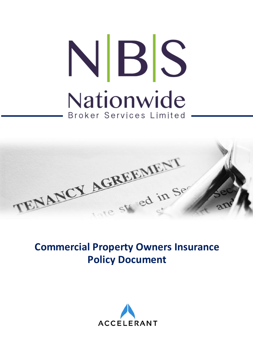# NBS Nationwide Broker Services Limited



# **Commercial Property Owners Insurance Policy Document**

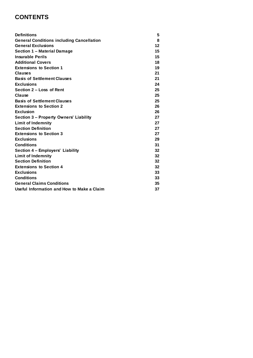# **CONTENTS**

| <b>Definitions</b>                               | 5                 |
|--------------------------------------------------|-------------------|
| <b>General Conditions including Cancellation</b> | 8                 |
| <b>General Exclusions</b>                        | $12 \overline{ }$ |
| Section 1 - Material Damage                      | 15                |
| <b>Insurable Perils</b>                          | 15                |
| <b>Additional Covers</b>                         | 18                |
| <b>Extensions to Section 1</b>                   | 19                |
| <b>Clauses</b>                                   | 21                |
| <b>Basis of Settlement Clauses</b>               | 21                |
| <b>Exclusions</b>                                | 24                |
| Section 2 - Loss of Rent                         | 25                |
| Clause                                           | 25                |
| <b>Basis of Settlement Clauses</b>               | 25                |
| <b>Extensions to Section 2</b>                   | 26                |
| <b>Exclusion</b>                                 | 26                |
| <b>Section 3 - Property Owners' Liability</b>    | 27                |
| <b>Limit of Indemnity</b>                        | 27                |
| <b>Section Definition</b>                        | 27                |
| <b>Extensions to Section 3</b>                   | 27                |
| <b>Exclusions</b>                                | 29                |
| <b>Conditions</b>                                | 31                |
| Section 4 - Employers' Liability                 | 32                |
| <b>Limit of Indemnity</b>                        | 32                |
| <b>Section Definition</b>                        | 32                |
| <b>Extensions to Section 4</b>                   | 32                |
| <b>Exclusions</b>                                | 33                |
| <b>Conditions</b>                                | 33                |
| <b>General Claims Conditions</b>                 | 35                |
| Useful Information and How to Make a Claim       | 37                |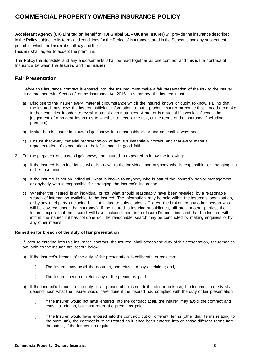# **COMMERCIAL PROPERTY OWNERS INSURANCE POLICY**

**Accelerant Agency (UK) Limited on behalf of HDI Global SE – UK (the Insurer)** will provide the insurance described in the Policy subject to its terms and conditions for the Period of Insurance stated in the Schedule and any subsequent period for which the **Insured** shall pay and the **Insurer** shall agree to accept the premium.

The Policy the Schedule and any endorsements shall be read together as one contract and this is the contract of Insurance between the **Insured** and the **Insurer**

### **Fair Presentation**

- 1. Before this insurance contract is entered into, the Insured must make a fair presentation of the risk to the Insurer, in accordance with Section 3 of the Insurance Act 2015. In summary, the Insured must:
	- a) Disclose to the Insurer every material circumstance which the Insured knows or ought to know. Failing that, the Insured must give the Insurer sufficient information to put a prudent insurer on notice that it needs to make further enquiries in order to reveal material circumstances. A matter is material if it would influence the judgement of a prudent insurer as to whether to accept the risk, or the terms of the insurance (including premium);
	- b) Make the disclosure in clause (1)(a) above in a reasonably clear and accessible way; and
	- c) Ensure that every material representation of fact is substantially correct, and that every material representation of expectation or belief is made in good faith.
- 2. For the purposes of clause (1)(a) above, the Insured is expected to know the following:
	- a) If the Insured is an individual, what is known to the individual and anybody who is responsible for arranging his or her insurance.
	- b) If the Insured is not an individual, what is known to anybody who is part of the Insured's senior management; or anybody who is responsible for arranging the Insured's insurance.
	- c) Whether the Insured is an individual or not, what should reasonably have been revealed by a reasonable search of information available to the Insured. The information may be held within the Insured's organisation, or by any third party (including but not limited to subsidiaries, affiliates, the broker, or any other person who will be covered under the insurance). If the Insured is insuring subsidiaries, affiliates or other parties, the Insurer expect that the Insured will have included them in the Insured's enquiries, and that the Insured will inform the Insurer if it has not done so. The reasonable search may be conducted by making enquiries or by any other means.

### **Remedies for breach of the duty of fair presentation**

- If, prior to entering into this insurance contract, the Insured shall breach the duty of fair presentation, the remedies available to the Insurer are set out below.
	- a) If the Insured's breach of the duty of fair presentation is deliberate or reckless:
		- i). The Insurer may avoid the contract, and refuse to pay all claims; and,
		- ii). The Insurer need not return any of the premiums paid.
	- b) If the Insured's breach of the duty of fair presentation is not deliberate or reckless, the Insurer's remedy shall depend upon what the Insurer would have done if the Insured had complied with the duty of fair presentation:
		- i). If the Insurer would not have entered into the contract at all, the Insurer may avoid the contract and refuse all claims, but must return the premiums paid.
		- ii). If the Insurer would have entered into the contract, but on different terms (other than terms relating to the premium), the contract is to be treated as if it had been entered into on those different terms from the outset, if the Insurer so require.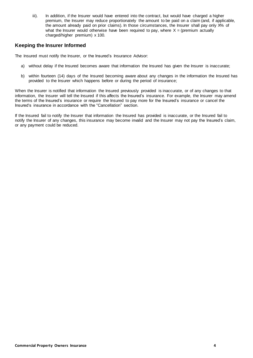iii). In addition, if the Insurer would have entered into the contract, but would have charged a higher premium, the Insurer may reduce proportionately the amount to be paid on a claim (and, if applicable, the amount already paid on prior claims). In those circumstances, the Insurer shall pay only X% of what the Insurer would otherwise have been required to pay, where  $X =$  (premium actually charged/higher premium) x 100.

### **Keeping the Insurer Informed**

The Insured must notify the Insurer, or the Insured's Insurance Advisor:

- a) without delay if the Insured becomes aware that information the Insured has given the Insurer is inaccurate;
- b) within fourteen (14) days of the Insured becoming aware about any changes in the information the Insured has provided to the Insurer which happens before or during the period of insurance;

When the Insurer is notified that information the Insured previously provided is inaccurate, or of any changes to that information, the Insurer will tell the Insured if this affects the Insured's insurance. For example, the Insurer may amend the terms of the Insured's insurance or require the Insured to pay more for the Insured's insurance or cancel the Insured's insurance in accordance with the "Cancellation" section.

If the Insured fail to notify the Insurer that information the Insured has provided is inaccurate, or the Insured fail to notify the Insurer of any changes, this insurance may become invalid and the Insurer may not pay the Insured's claim, or any payment could be reduced.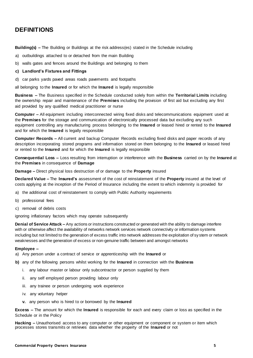# <span id="page-4-0"></span>**DEFINITIONS**

**Building(s) –** The Building or Buildings at the risk address(es) stated in the Schedule including

- a) outbuildings attached to or detached from the main Building
- b) walls gates and fences around the Buildings and belonging to them

### **c) Landlord's Fixtures and Fittings**

d) car parks yards paved areas roads pavements and footpaths

all belonging to the **Insured** or for which the **Insured** is legally responsible

**Business –** The Business specified in the Schedule conducted solely from within the **Territorial Limits** including the ownership repair and maintenance of the **Premises** including the provision of first aid but excluding any first aid provided by any qualified medical practitioner or nurse

**Computer –** All equipment including interconnected wiring fixed disks and telecommunications equipment used at the **Premises** for the storage and communication of electronically processed data but excluding any such equipment controlling any manufacturing process belonging to the **Insured** or leased hired or rented to the **Insured** and for which the **Insured** is legally responsible

**Computer Records –** All current and backup Computer Records excluding fixed disks and paper records of any description incorporating stored programs and information stored on them belonging to the **Insured** or leased hired or rented to the **Insured** and for which the **Insured** is legally responsible

**Consequential Loss –** Loss resulting from interruption or interference with the **Business** carried on by the **Insured** at the **Premises** in consequence of **Damage**

**Damage –** Direct physical loss destruction of or damage to the **Property** insured

**Declared Value –** The **Insured's** assessment of the cost of reinstatement of the **Property** insured at the level of costs applying at the inception of the Period of Insurance including the extent to which indemnity is provided for

- a) the additional cost of reinstatement to comply with Public Authority requirements
- b) professional fees
- c) removal of debris costs

ignoring inflationary factors which may operate subsequently

**Denial of Service Attack –** Any actions or instructions constructed or generated with the ability to damage interfere with or otherwise affect the availability of networks network services network connectivity or information systems including but not limited to the generation of excess traffic into network addresses the exploitation of sy stem or network weaknesses and the generation of excess or non-genuine traffic between and amongst networks

### **Employee –**

- a) Any person under a contract of service or apprenticeship with the **Insured** or
- **b)** any of the following persons whilst working for the **Insured** in connection with the **Business**
	- i. any labour master or labour only subcontractor or person supplied by them
	- ii. any self employed person providing labour only
	- iii. any trainee or person undergoing work experience
	- iv. any voluntary helper
	- **v.** any person who is hired to or borrowed by the **Insured**

**Excess –** The amount for which the **Insured** is responsible for each and every claim or loss as specified in the Schedule or in the Policy

**Hacking –** Unauthorised access to any computer or other equipment or component or system or item which processes stores transmits or retrieves data whether the property of the **Insured** or not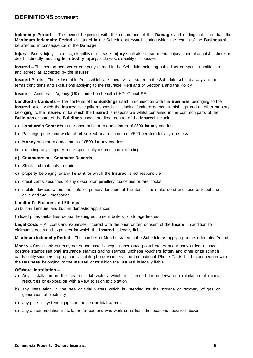# **DEFINITIONS CONTINUED**

**Indemnity Period –** The period beginning with the occurrence of the **Damage** and ending not later than the **Maximum Indemnity Period** as stated in the Schedule afterwards during which the results of the **Business** shall be affected in consequence of the **Damage**

**Injury –** Bodily injury sickness, disability or disease. **Injury** shall also mean mental injury, mental anguish, shock or death if directly resulting from **bodily injury**, sickness, disability or disease.

**Insured –** The person persons or company named in the Schedule including subsidiary companies notified to and agreed as accepted by the **Insurer**

**Insured Perils –** Those Insurable Perils which are operative as stated in the Schedule subject always to the terms conditions and exclusions applying to the Insurable Peril and of Section 1 and the Policy

**Insurer –** Accelerant Agency (UK) Limited on behalf of HDI Global SE

**Landlord's Contents –** The contents of the **Buildings** used in connection with the **Business** belonging to the **Insured** or for which the **Insured** is legally responsible including furniture carpets furnishings and all other property belonging to the **Insured** or for which the **Insured** is responsible whilst contained in the common parts of the **Buildings** or parts of the **Buildings** under the direct control of the **Insured** including

- a) **Landlord's Contents** in the open subject to a maximum of £500 for any one loss
- b) Paintings prints and works of art subject to a maximum of £500 per item for any one loss
- c) **Money** subject to a maximum of £500 for any one loss

but excluding any property more specifically insured and excluding

### **a) Computers** and **Computer Records**

- b) Stock and materials in trade
- c) property belonging to any **Tenant** for which the **Insured** is not responsible
- d) credit cards securities of any description jewellery curiosities or rare books
- e) mobile devices where the sole or primary function of the item is to make send and receive telephone calls and SMS messages

### **Landlord's Fixtures and Fittings –**

a) built-in furniture and built-in domestic appliances

b) fixed pipes tanks fires central heating equipment boilers or storage heaters

**Legal Costs –** All costs and expenses incurred with the prior written consent of the **Insurer** in addition to claimant's costs and expenses for which the **Insured** is legally liable

**Maximum Indemnity Period –** The number of Months stated in the Schedule as applying to the Indemnity Period

**Money –** Cash bank currency notes uncrossed cheques uncrossed postal orders and money orders unused postage stamps National Insurance stamps trading stamps luncheon vouchers lottery and other prize scratch cards utility vouchers top up cards mobile phone vouchers and International Phone Cards held in connection with the **Business** belonging to the **Insured** or for which the **Insured** is legally liable

### **Offshore Installation –**

- a) Any installation in the sea or tidal waters which is intended for underwater exploitation of mineral resources or exploration with a view to such exploitation
- b) any installation in the sea or tidal waters which is intended for the storage or recovery of gas or generation of electricity
- c) any pipe or system of pipes in the sea or tidal waters
- d) any accommodation installation for persons who work on or from the locations specified above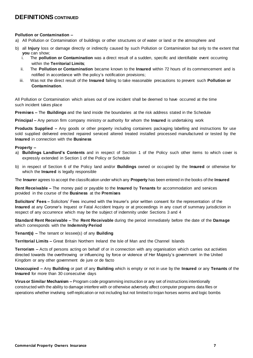# **DEFINITIONS CONTINUED**

### **Pollution or Contamination –**

- a) All Pollution or Contamination of buildings or other structures or of water or land or the atmosphere and
- b) all **Injury** loss or damage directly or indirectly caused by such Pollution or Contamination but only to the extent that **you** can show;
	- i. The **pollution or Contamination** was a direct result of a sudden, specific and identifiable event occurring within the **Territorial Limits**;
	- ii. The **Pollution or Contamination** became known to the **Insured** within 72 hours of its commencement and is notified in accordance with the policy's notification provisions;
	- iii. Was not the direct result of the **Insured** failing to take reasonable precautions to prevent such **Pollution or Contamination**.

All Pollution or Contamination which arises out of one incident shall be deemed to have occurred at the time such incident takes place

**Premises –** The **Buildings** and the land inside the boundaries at the risk address stated in the Schedule

**Principal –** Any person firm company ministry or authority for whom the **Insured** is undertaking work

**Products Supplied –** Any goods or other property including containers packaging labelling and instructions for use sold supplied delivered erected repaired serviced altered treated installed processed manufactured or tested by the **Insured** in connection with the **Business**

### **Property –**

- a) **Buildings Landlord's Contents** and in respect of Section 1 of the Policy such other items to which cover is expressly extended in Section 1 of the Policy or Schedule
- b) in respect of Section 6 of the Policy land and/or **Buildings** owned or occupied by the **Insured** or otherwise for which the **Insured** is legally responsible

The **Insurer** agrees to accept the classification under which any **Property** has been entered in the books of the **Insured**

**Rent Receivable –** The money paid or payable to the **Insured** by **Tenants** for accommodation and services provided in the course of the **Business** at the **Premises**

**Solicitors' Fees –** Solicitors' Fees incurred with the Insurer's prior written consent for the representation of the **Insured** at any Coroner's Inquest or Fatal Accident Inquiry or at proceedings in any court of summary jurisdiction in respect of any occurrence which may be the subject of indemnity under Sections 3 and 4

**Standard Rent Receivable –** The **Rent Receivable** during the period immediately before the date of the **Damage**  which corresponds with the **Indemnity Period**

**Tenant(s) –** The tenant or lessee(s) of any **Building**

**Territorial Limits –** Great Britain Northern Ireland the Isle of Man and the Channel Islands

**Terrorism –** Acts of persons acting on behalf of or in connection with any organisation which carries out activities directed towards the overthrowing or influencing by force or violence of Her Majesty's government in the United Kingdom or any other government de jure or de facto

**Unoccupied –** Any **Building** or part of any **Building** which is empty or not in use by the **Insured** or any **Tenants** of the **Insured** for more than 30 consecutive days

**Virus or Similar Mechanism –** Program code programming instruction or any set of instructions intentionally constructed with the ability to damage interfere with or otherwise adversely affect computer programs data files or operations whether involving self-replication or not including but not limited to trojan horses worms and logic bombs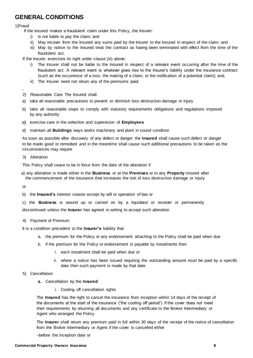# **GENERAL CONDITIONS**

1)Fraud

If the Insured makes a fraudulent claim under this Policy, the Insurer:

- i) Is not liable to pay the claim; and
- ii) May recover from the Insured any sums paid by the Insurer to the Insured in respect of the claim; and
- iii) May by notice to the Insured treat the contract as having been terminated with effect from the time of the fraudulent act.

If the Insurer exercises its right under clause (iii) above:

- i) The Insurer shall not be liable to the Insured in respect of a relevant event occurring after the time of the fraudulent act. A relevant event is whatever gives rise to the Insurer's liability under the insurance contract (such as the occurrence of a loss, the making of a claim, or the notification of a potential claim); and,
- ii) The Insurer need not return any of the premiums paid.
- 2) Reasonable Care The Insured shall
- a) take all reasonable precautions to prevent or diminish loss destruction damage or injury
- b) take all reasonable steps to comply with statutory requirements obligations and regulations imposed by any authority
- **c)** exercise care in the selection and supervision of **Employees**
- d) maintain all **Buildings** ways works machinery and plant in sound condition

As soon as possible after discovery of any defect or danger the **Insured** shall cause such defect or danger to be made good or remedied and in the meantime shall cause such additional precautions to be taken as the circumstances may require

3) Alteration

This Policy shall cease to be in force from the date of the alteration if

a) any alteration is made either in the **Business** or at the **Premises** or to any **Property** insured after the commencement of the insurance that increases the risk of loss destruction damage or injury

or

b) the **Insured's** interest ceases except by will or operation of law or

c) the **Business** is wound up or carried on by a liquidator or receiver or permanently

discontinued unless the **Insurer** has agreed in writing to accept such alteration

4) Payment of Premium

It is a condition precedent to the **Insurer's** liability that

- a. the premium for the Policy or any endorsement attaching to the Policy shall be paid when due
- b. if the premium for the Policy or endorsement is payable by instalments then
	- i. each instalment shall be paid when due or
	- ii. where a notice has been issued requiring the outstanding amount must be paid by a specific date then such payment is made by that date
- 5) Cancellation
	- **a.** Cancellation by the **Insured**
		- i. Cooling off cancellation rights

The **Insured** has the right to cancel the insurance from inception within 14 days of the receipt of the documents at the start of the insurance ("the cooling off period") if the cover does not meet their requirements by returning all documents and any certificate to the Broker Intermediary or Agent who arranged the Policy

The **Insurer** shall return any premium paid in full within 30 days of the receipt of the notice of cancellation from the Broker Intermediary or Agent if the cover is cancelled either

–before the inception date or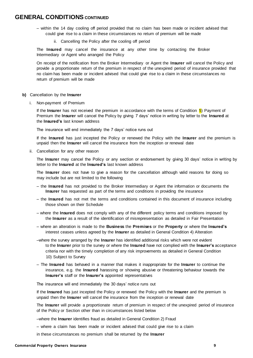## **GENERAL CONDITIONS CONTINUED**

- within the 14 day cooling off period provided that no claim has been made or incident advised that could give rise to a claim in these circumstances no return of premium will be made
	- ii. Cancelling the Policy after the cooling off period

The **Insured** may cancel the insurance at any other time by contacting the Broker Intermediary or Agent who arranged the Policy

On receipt of the notification from the Broker Intermediary or Agent the **Insurer** will cancel the Policy and provide a proportionate return of the premium in respect of the unexpired period of insurance provided that no claim has been made or incident advised that could give rise to a claim in these circumstances no return of premium will be made

- **b)** Cancellation by the **Insurer**
	- i. Non-payment of Premium

If the **Insurer** has not received the premium in accordance with the terms of Condition 5) Payment of Premium the **Insurer** will cancel the Policy by giving 7 days' notice in writing by letter to the **Insured** at the **Insured's** last known address

The insurance will end immediately the 7 days' notice runs out

If the **Insured** has just incepted the Policy or renewed the Policy with the **Insurer** and the premium is unpaid then the **Insurer** will cancel the insurance from the inception or renewal date

ii. Cancellation for any other reason

The **Insurer** may cancel the Policy or any section or endorsement by giving 30 days' notice in writing by letter to the **Insured** at the **Insured's** last known address

The **Insurer** does not have to give a reason for the cancellation although valid reasons for doing so may include but are not limited to the following

- the **Insured** has not provided to the Broker Intermediary or Agent the information or documents the **Insurer** has requested as part of the terms and conditions in providing the insurance
- the **Insured** has not met the terms and conditions contained in this document of insurance including those shown on their Schedule
- where the **Insured** does not comply with any of the different policy terms and conditions imposed by the **Insurer** as a result of the identification of misrepresentation as detailed in Fair Presentation
- where an alteration is made to the **Business** the **Premises** or the **Property** or where the **Insured's** interest ceases unless agreed by the **Insurer** as detailed in General Condition 4) Alteration
- –where the survey arranged by the **Insurer** has identified additional risks which were not evident to the **Insurer** prior to the survey or where the **Insured** have not complied with the **Insurer's** acceptance criteria nor with the timely completion of any risk improvements as detailed in General Condition 10) Subject to Survey
- The **Insured** has behaved in a manner that makes it inappropriate for the **Insurer** to continue the insurance, e.g. the **Insured** harassing or showing abusive or threatening behaviour towards the **Insurer's** staff or the **Insurer's** appointed representatives

The insurance will end immediately the 30 days' notice runs out

If the **Insured** has just incepted the Policy or renewed the Policy with the **Insurer** and the premium is unpaid then the **Insurer** will cancel the insurance from the inception or renewal date

The **Insurer** will provide a proportionate return of premium in respect of the unexpired period of insurance of the Policy or Section other than in circumstances listed below

–where the **Insurer** identifies fraud as detailed in General Condition 2) Fraud

– where a claim has been made or incident advised that could give rise to a claim

in these circumstances no premium shall be returned by the **Insurer**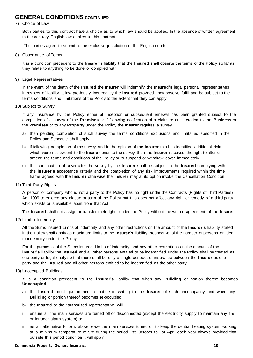# **GENERAL CONDITIONS CONTINUED**

### 7) Choice of Law

Both parties to this contract have a choice as to which law should be applied. In the absence of written agreement to the contrary English law applies to this contract

The parties agree to submit to the exclusive jurisdiction of the English courts

8) Observance of Terms

It is a condition precedent to the **Insurer's** liability that the **Insured** shall observe the terms of the Policy so far as they relate to anything to be done or complied with

9) Legal Representatives

In the event of the death of the **Insured** the **Insurer** will indemnify the **Insured's** legal personal representatives in respect of liability at law previously incurred by the **Insured** provided they observe fulfil and be subject to the terms conditions and limitations of the Policy to the extent that they can apply

10) Subject to Survey

If any insurance by the Policy either at inception or subsequent renewal has been granted subject to the completion of a survey of the **Premises** or if following notification of a claim or an alteration to the **Business** or the **Premises** or to any **Property** under the Policy the **Insurer** requires a survey

- a) then pending completion of such survey the terms conditions exclusions and limits as specified in the Policy and Schedule shall apply
- b) if following completion of the survey and in the opinion of the **Insurer** this has identified additional risks which were not evident to the **Insurer** prior to the survey then the **Insurer** reserves the right to alter or amend the terms and conditions of the Policy or to suspend or withdraw cover immediately
- c) the continuation of cover after the survey by the **Insurer** shall be subject to the **Insured** complying with the **Insurer's** acceptance criteria and the completion of any risk improvements required within the time frame agreed with the **Insurer** otherwise the **Insurer** may at its option invoke the Cancellation Condition
- 11) Third Party Rights

A person or company who is not a party to the Policy has no right under the Contracts (Rights of Third Parties) Act 1999 to enforce any clause or term of the Policy but this does not affect any right or remedy of a third party which exists or is available apart from that Act

The **Insured** shall not assign or transfer their rights under the Policy without the written agreement of the **Insurer**

12) Limit of Indemnity

All the Sums Insured Limits of Indemnity and any other restrictions on the amount of the **Insurer's** liability stated in the Policy shall apply as maximum limits to the **Insurer's** liability irrespective of the number of persons entitled to indemnity under the Policy

For the purposes of the Sums Insured Limits of Indemnity and any other restrictions on the amount of the **Insurer's** liability the **Insured** and all other persons entitled to be indemnified under the Policy shall be treated as one party or legal entity so that there shall be only a single contract of insurance between the **Insurer** as one party and the **Insured** and all other persons entitled to be indemnified as the other party

### 13) Unoccupied Buildings

It is a condition precedent to the **Insurer's** liability that when any **Building** or portion thereof becomes **Unoccupied**

- a) the **Insured** must give immediate notice in writing to the **Insurer** of such unoccupancy and when any **Building** or portion thereof becomes re-occupied
- b) the **Insured** or their authorised representative will
- i. ensure all the main services are turned off or disconnected (except the electricity supply to maintain any fire or intruder alarm system) or
- ii. as an alternative to b) i. above leave the main services turned on to keep the central heating system working at a minimum temperature of 5°c during the period 1st October to 1st April each year always provided that outside this period condition i. will apply

### **Commercial Property Owners Insurance 10**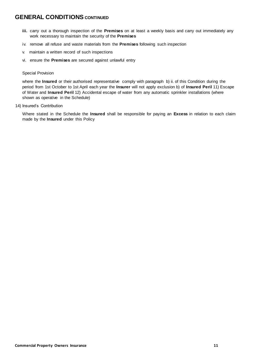# **GENERAL CONDITIONS** CONTINUED

- **iii.** carry out a thorough inspection of the **Premises** on at least a weekly basis and carry out immediately any work necessary to maintain the security of the **Premises**
- iv. remove all refuse and waste materials from the **Premises** following such inspection
- v. maintain a written record of such inspections
- vi. ensure the **Premises** are secured against unlawful entry

### Special Provision

where the **Insured** or their authorised representative comply with paragraph b) ii. of this Condition during the period from 1st October to 1st April each year the **Insurer** will not apply exclusion b) of **Insured Peril** 11) Escape of Water and **Insured Peril** 12) Accidental escape of water from any automatic sprinkler installations (where shown as operative in the Schedule)

14) Insured's Contribution

Where stated in the Schedule the **Insured** shall be responsible for paying an **Excess** in relation to each claim made by the **Insured** under this Policy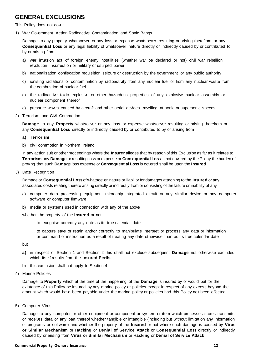# <span id="page-11-0"></span>**GENERAL EXCLUSIONS**

This Policy does not cover

1) War Government Action Radioactive Contamination and Sonic Bangs

Damage to any property whatsoever or any loss or expense whatsoever resulting or arising therefrom or any **Consequential Loss** or any legal liability of whatsoever nature directly or indirectly caused by or contributed to by or arising from

- a) war invasion act of foreign enemy hostilities (whether war be declared or not) civil war rebellion revolution insurrection or military or usurped power
- b) nationalisation confiscation requisition seizure or destruction by the government or any public authority
- c) ionising radiations or contamination by radioactivity from any nuclear fuel or from any nuclear waste from the combustion of nuclear fuel
- d) the radioactive toxic explosive or other hazardous properties of any explosive nuclear assembly or nuclear component thereof
- e) pressure waves caused by aircraft and other aerial devices travelling at sonic or supersonic speeds
- 2) Terrorism and Civil Commotion

**Damage** to any **Property** whatsoever or any loss or expense whatsoever resulting or arising therefrom or any **Consequential Loss** directly or indirectly caused by or contributed to by or arising from

### **a) Terrorism**

b) civil commotion in Northern Ireland

In any action suit or other proceedings where the **Insurer** alleges that by reason of this Exclusion as far as it relates to **Terrorism** any **Damage** or resulting loss or expense or **Consequential Loss** is not covered by the Policy the burden of proving that such **Damage** loss expense or **Consequential Loss** is covered shall be upon the **Insured**

3) Date Recognition

Damage or **Consequential Loss** of whatsoever nature or liability for damages attaching to the **Insured** or any associated costs relating thereto arising directly or indirectly from or consisting of the failure or inability of any

- a) computer data processing equipment microchip integrated circuit or any similar device or any computer software or computer firmware
- b) media or systems used in connection with any of the above

whether the property of the **Insured** or not

- i. to recognise correctly any date as its true calendar date
- ii. to capture save or retain and/or correctly to manipulate interpret or process any data or information or command or instruction as a result of treating any date otherwise than as its true calendar date

but

- **a)** in respect of Section 1 and Section 2 this shall not exclude subsequent **Damage** not otherwise excluded which itself results from the **Insured Perils**
- b) this exclusion shall not apply to Section 4
- 4) Marine Policies

Damage to **Property** which at the time of the happening of the **Damage** is insured by or would but for the existence of this Policy be insured by any marine policy or policies except in respect of any excess beyond the amount which would have been payable under the marine policy or policies had this Policy not been effected

5) Computer Virus

Damage to any computer or other equipment or component or system or item which processes stores transmits or receives data or any part thereof whether tangible or intangible (including but without limitation any information or programs or software) and whether the property of the **Insured** or not where such damage is caused by **Virus or Similar Mechanism** or **Hacking** or **Denial of Service Attack** or **Consequential Loss** directly or indirectly caused by or arising from **Virus or Similar Mechanism** or **Hacking** or **Denial of Service Attack**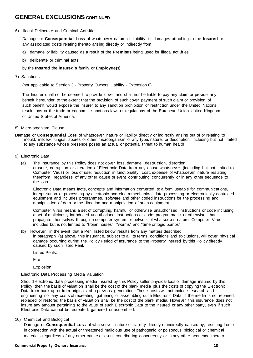# **GENERAL EXCLUSIONS CONTINUED**

### 6) Illegal Deliberate and Criminal Activities

Damage or **Consequential Loss** of whatsoever nature or liability for damages attaching to the **Insured** or any associated costs relating thereto arising directly or indirectly from

- a) damage or liability caused as a result of the **Premises** being used for illegal activities
- b) deliberate or criminal acts

### by the **Insured** the **Insured's** family or **Employee(s)**

7) Sanctions

(not applicable to Section 3 - Property Owners Liability - Extension 8)

The Insurer shall not be deemed to provide cover and shall not be liable to pay any claim or provide any benefit hereunder to the extent that the provision of such cover payment of such claim or provision of such benefit would expose the Insurer to any sanction prohibition or restriction under the United Nations resolutions or the trade or economic sanctions laws or regulations of the European Union United Kingdom or United States of America.

- 8) Micro-organism Clause
- Damage or **Consequential Loss** of whatsoever nature or liability directly or indirectly arising out of or relating to mould, mildew, fungus, spores or other microorganism of any type, nature, or description, including but not limited to any substance whose presence poses an actual or potential threat to human health
- 9) Electronic Data
	- (a) The insurance by this Policy does not cover loss, damage, destruction, distortion, erasure, corruption or alteration of Electronic Data from any cause whatsoever (including but not limited to Computer Virus) or loss of use, reduction in functionality, cost, expense of whatsoever nature resulting therefrom, regardless of any other cause or event contributing concurrently or in any other sequence to the loss.

Electronic Data means facts, concepts and information converted to a form useable for communications, interpretation or processing by electronic and electromechanical data processing or electronically controlled equipment and includes programmes, software and other coded instructions for the processing and manipulation of data or the direction and manipulation of such equipment.

Computer Virus means a set of corrupting, harmful or otherwise unauthorised instructions or code including a set of maliciously introduced unauthorised instructions or code, programmatic or otherwise, that propagate themselves through a computer system or network of whatsoever nature. Computer Virus includes but is not limited to "trojan horses", "worms" and "time or logic bombs".

- (b) However, in the event that a Peril listed below results from any matters described in paragraph (a) above, this insurance, subject to all its terms, conditions and exclusions, will cover physical damage occurring during the Policy Period of Insurance to the Property Insured by this Policy directly caused by such listed Peril.
	- Listed Perils:

Fire

Explosion

### Electronic Data Processing Media Valuation

Should electronic data processing media insured by this Policy suffer physical loss or damage insured by this Policy, then the basis of valuation shall be the cost of the blank media plus the costs of copying the Electronic Data from back-up or from originals of a previous generation. These costs will not include research and engineering nor any costs of recreating, gathering or assembling such Electronic Data. If the media is not repaired, replaced or restored the basis of valuation shall be the cost of the blank media. However this insurance does not insure any amount pertaining to the value of such Electronic Data to the Insured or any other party, even if such Electronic Data cannot be recreated, gathered or assembled.

### 10) Chemical and Biological

Damage or **Consequential Loss** of whatsoever nature or liability directly or indirectly caused by, resulting from or in connection with the actual or threatened malicious use of pathogenic or poisonous biological or chemical materials regardless of any other cause or event contributing concurrently or in any other sequence thereto.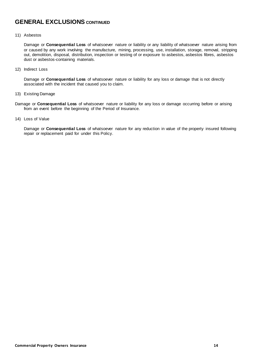# **GENERAL EXCLUSIONS CONTINUED**

### 11) Asbestos

Damage or **Consequential Loss** of whatsoever nature or liability or any liability of whatsoever nature arising from or caused by any work involving the manufacture, mining, processing, use, installation, storage, removal, stripping out, demolition, disposal, distribution, inspection or testing of or exposure to asbestos, asbestos fibres, asbestos dust or asbestos-containing materials.

12) Indirect Loss

Damage or **Consequential Loss** of whatsoever nature or liability for any loss or damage that is not directly associated with the incident that caused you to claim.

- 13) Existing Damage
- Damage or **Consequential Loss** of whatsoever nature or liability for any loss or damage occurring before or arising from an event before the beginning of the Period of Insurance.
- 14) Loss of Value

Damage or **Consequential Loss** of whatsoever nature for any reduction in value of the property insured following repair or replacement paid for under this Policy.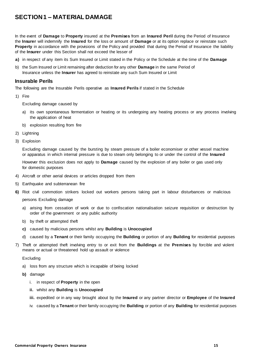# <span id="page-14-0"></span>**SECTION 1 – MATERIAL DAMAGE**

In the event of **Damage** to **Property** insured at the **Premises** from an **Insured Peril** during the Period of Insurance the **Insurer** will indemnify the **Insured** for the loss or amount of **Damage** or at its option replace or reinstate such **Property** in accordance with the provisions of the Policy and provided that during the Period of Insurance the liability of the **Insurer** under this Section shall not exceed the lesser of

- **a)** in respect of any item its Sum Insured or Limit stated in the Policy or the Schedule at the time of the **Damage**
- b) the Sum Insured or Limit remaining after deduction for any other **Damage** in the same Period of Insurance unless the **Insurer** has agreed to reinstate any such Sum Insured or Limit

### **Insurable Perils**

The following are the Insurable Perils operative as **Insured Perils** if stated in the Schedule

1) Fire

Excluding damage caused by

- a) its own spontaneous fermentation or heating or its undergoing any heating process or any process involving the application of heat
- b) explosion resulting from fire
- 2) Lightning
- 3) Explosion

Excluding damage caused by the bursting by steam pressure of a boiler economiser or other vessel machine or apparatus in which internal pressure is due to steam only belonging to or under the control of the **Insured**

However this exclusion does not apply to **Damage** caused by the explosion of any boiler or gas used only for domestic purposes

- 4) Aircraft or other aerial devices or articles dropped from them
- 5) Earthquake and subterranean fire
- **6)** Riot civil commotion strikers locked out workers persons taking part in labour disturbances or malicious persons Excluding damage
	- a) arising from cessation of work or due to confiscation nationalisation seizure requisition or destruction by order of the government or any public authority
	- b) by theft or attempted theft
	- **c)** caused by malicious persons whilst any **Building** is **Unoccupied**
	- d) caused by a **Tenant** or their family occupying the **Building** or portion of any **Building** for residential purposes
- 7) Theft or attempted theft involving entry to or exit from the **Buildings** at the **Premises** by forcible and violent means or actual or threatened hold up assault or violence

### Excluding

- a) loss from any structure which is incapable of being locked
- **b)** damage
	- i. in respect of **Property** in the open
	- **ii.** whilst any **Building** is **Unoccupied**
	- **iii.** expedited or in any way brought about by the **Insured** or any partner director or **Employee** of the **Insured**
	- iv. caused by a **Tenant** or their family occupying the **Building** or portion of any **Building** for residential purposes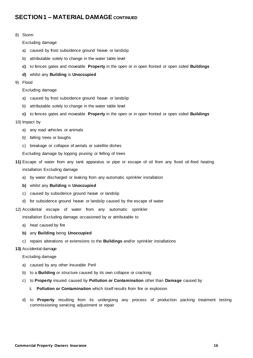### 8) Storm

Excluding damage

- a) caused by frost subsidence ground heave or landslip
- b) attributable solely to change in the water table level
- **c)** to fences gates and moveable **Property** in the open or in open fronted or open sided **Buildings**
- **d)** whilst any **Building** is **Unoccupied**
- 9) Flood

Excluding damage

- a) caused by frost subsidence ground heave or landslip
- b) attributable solely to change in the water table level
- **c)** to fences gates and moveable **Property** in the open or in open fronted or open sided **Buildings**
- 10) Impact by
	- a) any road vehicles or animals
	- b) falling trees or boughs
	- c) breakage or collapse of aerials or satellite dishes
	- Excluding damage by lopping pruning or felling of trees
- **11)** Escape of water from any tank apparatus or pipe or escape of oil from any fixed oil-fired heating installation Excluding damage
	- a) by water discharged or leaking from any automatic sprinkler installation
	- **b)** whilst any **Building** is **Unoccupied**
	- c) caused by subsidence ground heave or landslip
	- d) for subsidence ground heave or landslip caused by the escape of water
- 12) Accidental escape of water from any automatic sprinkler

installation Excluding damage occasioned by or attributable to

- a) heat caused by fire
- **b)** any **Building** being **Unoccupied**
- c) repairs alterations or extensions to the **Buildings** and/or sprinkler installations

### **13)** Accidental damage

Excluding damage

- a) caused by any other Insurable Peril
- b) to a **Building** or structure caused by its own collapse or cracking
- c) to **Property** insured caused by **Pollution or Contamination** other than **Damage** caused by
	- **i. Pollution or Contamination** which itself results from fire or explosion
- d) to **Property** resulting from its undergoing any process of production packing treatment testing commissioning servicing adjustment or repair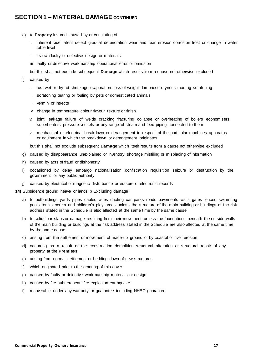- e) to **Property** insured caused by or consisting of
	- i. inherent vice latent defect gradual deterioration wear and tear erosion corrosion frost or change in water table level
	- ii. its own faulty or defective design or materials
	- **iii.** faulty or defective workmanship operational error or omission

but this shall not exclude subsequent **Damage** which results from a cause not otherwise excluded

- f) caused by
	- i. rust wet or dry rot shrinkage evaporation loss of weight dampness dryness marring scratching
	- ii. scratching tearing or fouling by pets or domesticated animals
	- iii. vermin or insects
	- iv. change in temperature colour flavour texture or finish
	- v. joint leakage failure of welds cracking fracturing collapse or overheating of boilers economisers superheaters pressure vessels or any range of steam and feed piping connected to them
	- vi. mechanical or electrical breakdown or derangement in respect of the particular machines apparatus or equipment in which the breakdown or derangement originates

but this shall not exclude subsequent **Damage** which itself results from a cause not otherwise excluded

- g) caused by disappearance unexplained or inventory shortage misfiling or misplacing of information
- h) caused by acts of fraud or dishonesty
- i) occasioned by delay embargo nationalisation confiscation requisition seizure or destruction by the government or any public authority
- j) caused by electrical or magnetic disturbance or erasure of electronic records

**14)** Subsidence ground heave or landslip Excluding damage

- a) to outbuildings yards pipes cables wires ducting car parks roads pavements walls gates fences swimming pools tennis courts and children's play areas unless the structure of the main building or buildings at the risk address stated in the Schedule is also affected at the same time by the same cause
- b) to solid floor slabs or damage resulting from their movement unless the foundations beneath the outside walls of the main building or buildings at the risk address stated in the Schedule are also affected at the same time by the same cause
- c) arising from the settlement or movement of made-up ground or by coastal or river erosion
- **d)** occurring as a result of the construction demolition structural alteration or structural repair of any property at the **Premises**
- e) arising from normal settlement or bedding down of new structures
- f) which originated prior to the granting of this cover
- g) caused by faulty or defective workmanship materials or design
- h) caused by fire subterranean fire explosion earthquake
- i) recoverable under any warranty or guarantee including NHBC guarantee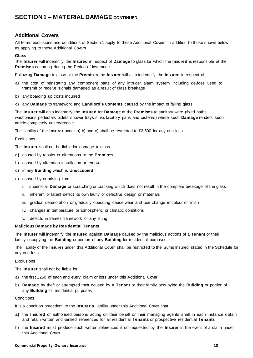### <span id="page-17-0"></span>**Additional Covers**

All terms exclusions and conditions of Section 1 apply to these Additional Covers in addition to those shown below as applying to these Additional Covers

### **Glass**

The **Insurer** will indemnify the **Insured** in respect of **Damage** to glass for which the **Insured** is responsible at the **Premises** occurring during the Period of Insurance

Following **Damage** to glass at the **Premises** the **Insurer** will also indemnify the **Insured** in respect of

- a) the cost of reinstating any component parts of any intruder alarm system including devices used to transmit or receive signals damaged as a result of glass breakage
- b) any boarding up costs incurred
- c) any **Damage** to framework and **Landlord's Contents** caused by the impact of falling glass

The **Insurer** will also indemnify the **Insured** for **Damage** at the **Premises** to sanitary ware (fixed baths washbasins pedestals bidets shower trays sinks lavatory pans and cisterns) where such **Damage** renders such article completely unserviceable

The liability of the **Insurer** under a) b) and c) shall be restricted to £2,500 for any one loss

### **Exclusions**

The **Insurer** shall not be liable for damage to glass

- **a)** caused by repairs or alterations to the **Premises**
- b) caused by alteration installation or removal
- **c)** in any **Building** which is **Unoccupied**
- d) caused by or arising from
	- i. superficial **Damage** or scratching or cracking which does not result in the complete breakage of the glass
	- ii. inherent or latent defect its own faulty or defective design or materials
	- iii. gradual deterioration or gradually operating cause wear and tear change in colour or finish
	- iv. changes in temperature or atmospheric or climatic conditions
	- v. defects in frames framework or any fitting

### **Malicious Damage by Residential Tenants**

The **Insurer** will indemnify the **Insured** against **Damage** caused by the malicious actions of a **Tenant** or their family occupying the **Building** or portion of any **Building** for residential purposes

The liability of the **Insurer** under this Additional Cover shall be restricted to the Sums Insured stated in the Schedule for any one loss

### **Exclusions**

The **Insurer** shall not be liable for

- a) the first £250 of each and every claim or loss under this Additional Cover
- b) **Damage** by theft or attempted theft caused by a **Tenant** or their family occupying the **Building** or portion of any **Building** for residential purposes

### **Conditions**

It is a condition precedent to the **Insurer's** liability under this Additional Cover that

- **a)** the **Insured** or authorised persons acting on their behalf or their managing agents shall in each instance obtain and retain written and verified references for all residential **Tenants** or prospective residential **Tenants**
- b) the **Insured** must produce such written references if so requested by the **Insurer** in the event of a claim under this Additional Cover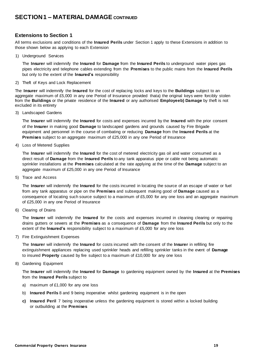### <span id="page-18-0"></span>**Extensions to Section 1**

All terms exclusions and conditions of the **Insured Perils** under Section 1 apply to these Extensions in addition to those shown below as applying to each Extension

1) Underground Services

The **Insurer** will indemnify the **Insured** for **Damage** from the **Insured Perils** to underground water pipes gas pipes electricity and telephone cables extending from the **Premises** to the public mains from the **Insured Perils** but only to the extent of the **Insured's** responsibility

2) Theft of Keys and Lock Replacement

The **Insurer** will indemnify the **Insured** for the cost of replacing locks and keys to the **Buildings** subject to an aggregate maximum of £5,000 in any one Period of Insurance provided thata) the original keys were forcibly stolen from the **Buildings** or the private residence of the **Insured** or any authorised **Employeeb) Damage** by theft is not excluded in its entirety

3) Landscaped Gardens

The **Insurer** will indemnify the **Insured** for costs and expenses incurred by the **Insured** with the prior consent of the **Insurer** in making good **Damage** to landscaped gardens and grounds caused by Fire Brigade equipment and personnel in the course of combating or reducing **Damage** from the **Insured Perils** at the **Premises** subject to an aggregate maximum of £25,000 in any one Period of Insurance

4) Loss of Metered Supplies

The **Insurer** will indemnify the **Insured** for the cost of metered electricity gas oil and water consumed as a direct result of **Damage** from the **Insured Perils** to any tank apparatus pipe or cable not being automatic sprinkler installations at the **Premises** calculated at the rate applying at the time of the **Damage** subject to an aggregate maximum of £25,000 in any one Period of Insurance

5) Trace and Access

The **Insurer** will indemnify the **Insured** for the costs incurred in locating the source of an escape of water or fuel from any tank apparatus or pipe on the **Premises** and subsequent making good of **Damage** caused as a consequence of locating such source subject to a maximum of £5,000 for any one loss and an aggregate maximum of £25,000 in any one Period of Insurance

6) Clearing of Drains

The **Insurer** will indemnify the **Insured** for the costs and expenses incurred in cleaning clearing or repairing drains gutters or sewers at the **Premises** as a consequence of **Damage** from the **Insured Perils** but only to the extent of the **Insured's** responsibility subject to a maximum of £5,000 for any one loss

7) Fire Extinguishment Expenses

The **Insurer** will indemnify the **Insured** for costs incurred with the consent of the **Insurer** in refilling fire extinguishment appliances replacing used sprinkler heads and refilling sprinkler tanks in the event of **Damage** to insured **Property** caused by fire subject to a maximum of £10,000 for any one loss

8) Gardening Equipment

The **Insurer** will indemnify the **Insured** for **Damage** to gardening equipment owned by the **Insured** at the **Premises** from the **Insured Perils** subject to

- a) maximum of £1,000 for any one loss
- b) **Insured Perils** 8 and 9 being inoperative whilst gardening equipment is in the open
- **c) Insured Peril** 7 being inoperative unless the gardening equipment is stored within a locked building or outbuilding at the **Premises**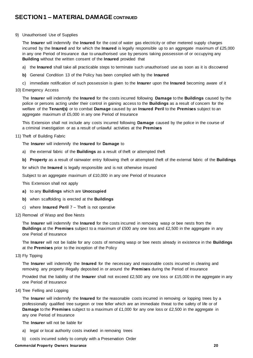### 9) Unauthorised Use of Supplies

The **Insurer** will indemnify the **Insured** for the cost of water gas electricity or other metered supply charges incurred by the **Insured** and for which the **Insured** is legally responsible up to an aggregate maximum of £25,000 in any one Period of Insurance due to unauthorised use by persons taking possession of or occupying any **Building** without the written consent of the **Insured** provided that

- a) the **Insured** shall take all practicable steps to terminate such unauthorised use as soon as it is discovered
- **b)** General Condition 13 of the Policy has been complied with by the **Insured**
- c) immediate notification of such possession is given to the **Insurer** upon the **Insured** becoming aware of it
- 10) Emergency Access

The **Insurer** will indemnify the **Insured** for the costs incurred following **Damage** to the **Buildings** caused by the police or persons acting under their control in gaining access to the **Buildings** as a result of concern for the welfare of the **Tenant(s)** or to combat **Damage** caused by an **Insured Peril** to the **Premises** subject to an aggregate maximum of £5,000 in any one Period of Insurance

This Extension shall not include any costs incurred following **Damage** caused by the police in the course of a criminal investigation or as a result of unlawful activities at the **Premises**

### 11) Theft of Building Fabric

The **Insurer** will indemnify the **Insured** for **Damage** to

- a) the external fabric of the **Buildings** as a result of theft or attempted theft
- **b) Property** as a result of rainwater entry following theft or attempted theft of the external fabric of the **Buildings**

for which the **Insured** is legally responsible and is not otherwise insured

Subject to an aggregate maximum of £10,000 in any one Period of Insurance

This Extension shall not apply

- **a)** to any **Buildings** which are **Unoccupied**
- **b)** when scaffolding is erected at the **Buildings**
- c) where **Insured Peril** 7 Theft is not operative
- 12) Removal of Wasp and Bee Nests

The **Insurer** will indemnify the **Insured** for the costs incurred in removing wasp or bee nests from the **Buildings** at the **Premises** subject to a maximum of £500 any one loss and £2,500 in the aggregate in any one Period of Insurance

The **Insurer** will not be liable for any costs of removing wasp or bee nests already in existence in the **Buildings** at the **Premises** prior to the inception of the Policy

13) Fly Tipping

The **Insurer** will indemnify the **Insured** for the necessary and reasonable costs incurred in clearing and removing any property illegally deposited in or around the **Premises** during the Period of Insurance

Provided that the liability of the **Insurer** shall not exceed £2,500 any one loss or £15,000 in the aggregate in any one Period of Insurance

14) Tree Felling and Lopping

The **Insurer** will indemnify the **Insured** for the reasonable costs incurred in removing or lopping trees by a professionally qualified tree surgeon or tree feller which are an immediate threat to the safety of life or of **Damage** to the **Premises** subject to a maximum of £1,000 for any one loss or £2,500 in the aggregate in any one Period of Insurance

The **Insurer** will not be liable for

- a) legal or local authority costs involved in removing trees
- b) costs incurred solely to comply with a Preservation Order

### **Commercial Property Owners Insurance 20**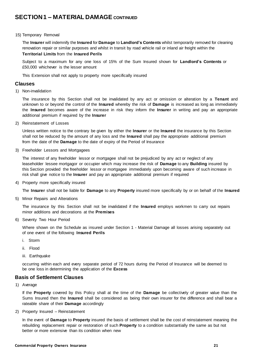### <span id="page-20-0"></span>15) Temporary Removal

The **Insurer** will indemnify the **Insured** for **Damage** to **Landlord's Contents** whilst temporarily removed for cleaning renovation repair or similar purposes and whilst in transit by road vehicle rail or inland air freight within the **Territorial Limits** from the **Insured Perils**

Subject to a maximum for any one loss of 15% of the Sum Insured shown for **Landlord's Contents** or £50,000 whichever is the lesser amount

This Extension shall not apply to property more specifically insured

### **Clauses**

1) Non-invalidation

The insurance by this Section shall not be invalidated by any act or omission or alteration by a **Tenant** and unknown to or beyond the control of the **Insured** whereby the risk of **Damage** is increased as long as immediately the **Insured** becomes aware of the increase in risk they inform the **Insurer** in writing and pay an appropriate additional premium if required by the **Insurer**

2) Reinstatement of Losses

Unless written notice to the contrary be given by either the **Insurer** or the **Insured** the insurance by this Section shall not be reduced by the amount of any loss and the **Insured** shall pay the appropriate additional premium from the date of the **Damage** to the date of expiry of the Period of Insurance

3) Freeholder Lessors and Mortgagees

The interest of any freeholder lessor or mortgagee shall not be prejudiced by any act or neglect of any leaseholder lessee mortgagor or occupier which may increase the risk of **Damage** to any **Building** insured by this Section provided the freeholder lessor or mortgagee immediately upon becoming aware of such increase in risk shall give notice to the **Insurer** and pay an appropriate additional premium if required

4) Property more specifically insured

The **Insurer** shall not be liable for **Damage** to any **Property** insured more specifically by or on behalf of the **Insured**

5) Minor Repairs and Alterations

The insurance by this Section shall not be invalidated if the **Insured** employs workmen to carry out repairs minor additions and decorations at the **Premises**

6) Seventy Two Hour Period

Where shown on the Schedule as insured under Section 1 - Material Damage all losses arising separately out of one event of the following **Insured Perils**

- i. Storm
- ii. Flood
- iii. Earthquake

occurring within each and every separate period of 72 hours during the Period of Insurance will be deemed to be one loss in determining the application of the **Excess**

### **Basis of Settlement Clauses**

1) Average

If the **Property** covered by this Policy shall at the time of the **Damage** be collectively of greater value than the Sums Insured then the **Insured** shall be considered as being their own insurer for the difference and shall bear a rateable share of their **Damage** accordingly

2) Property Insured – Reinstatement

In the event of **Damage** to **Property** insured the basis of settlement shall be the cost of reinstatement meaning the rebuilding replacement repair or restoration of such **Property** to a condition substantially the same as but not better or more extensive than its condition when new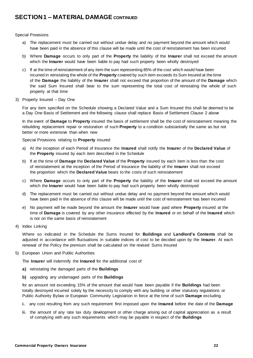### Special Provisions

- a) The replacement must be carried out without undue delay and no payment beyond the amount which would have been paid in the absence of this clause will be made until the cost of reinstatement has been incurred
- b) Where **Damage** occurs to only part of the **Property** the liability of the **Insurer** shall not exceed the amount which the **Insurer** would have been liable to pay had such property been wholly destroyed
- c) If at the time of reinstatement of any item the sum representing 85% of the cost which would have been incurred in reinstating the whole of the **Property** covered by such item exceeds its Sum Insured at the time of the **Damage** the liability of the **Insurer** shall not exceed that proportion of the amount of the **Damage** which the said Sum Insured shall bear to the sum representing the total cost of reinstating the whole of such property at that time
- 3) Property Insured Day One

For any item specified on the Schedule showing a Declared Value and a Sum Insured this shall be deemed to be a Day One Basis of Settlement and the following clause shall replace Basis of Settlement Clause 2 above

In the event of **Damage** to **Property** insured the basis of settlement shall be the cost of reinstatement meaning the rebuilding replacement repair or restoration of such **Property** to a condition substantially the same as but not better or more extensive than when new

Special Provisions relating to **Property** insured

- a) At the inception of each Period of Insurance the **Insured** shall notify the **Insurer** of the **Declared Value** of the **Property** insured by each item described in the Schedule
- b) If at the time of **Damage** the **Declared Value** of the **Property** insured by each item is less than the cost of reinstatement at the inception of the Period of Insurance the liability of the **Insurer** shall not exceed the proportion which the **Declared Value** bears to the costs of such reinstatement
- c) Where **Damage** occurs to only part of the **Property** the liability of the **Insurer** shall not exceed the amount which the **Insurer** would have been liable to pay had such property been wholly destroyed
- d) The replacement must be carried out without undue delay and no payment beyond the amount which would have been paid in the absence of this clause will be made until the cost of reinstatement has been incurred
- e) No payment will be made beyond the amount the **Insurer** would have paid where **Property** insured at the time of **Damage** is covered by any other insurance effected by the **Insured** or on behalf of the **Insured** which is not on the same basis of reinstatement
- 4) Index Linking

Where so indicated in the Schedule the Sums Insured for **Buildings** and **Landlord's Contents** shall be adjusted in accordance with fluctuations in suitable indices of cost to be decided upon by the **Insurer**. At each renewal of the Policy the premium shall be calculated on the revised Sums Insured

5) European Union and Public Authorities

The **Insurer** will indemnify the **Insured** for the additional cost of

- **a)** reinstating the damaged parts of the **Buildings**
- **b)** upgrading any undamaged parts of the **Buildings**

for an amount not exceeding 15% of the amount that would have been payable if the **Buildings** had been totally destroyed incurred solely by the necessity to comply with any building or other statutory regulations or Public Authority Bylaw or European Community Legislation in force at the time of such **Damage** excluding

- **i.** any cost resulting from any such requirement first imposed upon the **Insured** before the date of the **Damage**
- **ii.** the amount of any rate tax duty development or other charge arising out of capital appreciation as a result of complying with any such requirements which may be payable in respect of the **Buildings**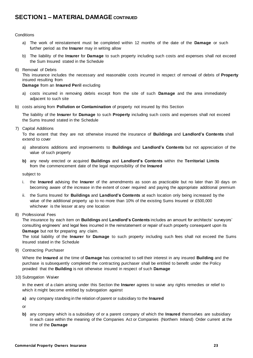### **Conditions**

- a) The work of reinstatement must be completed within 12 months of the date of the **Damage** or such further period as the **Insurer** may in writing allow
- b) The liability of the **Insurer** for **Damage** to such property including such costs and expenses shall not exceed the Sum Insured stated in the Schedule
- 6) Removal of Debris

This insurance includes the necessary and reasonable costs incurred in respect of removal of debris of **Property** insured resulting from

### **Damage** from an **Insured Peril** excluding

- a) costs incurred in removing debris except from the site of such **Damage** and the area immediately adjacent to such site
- b) costs arising from **Pollution or Contamination** of property not insured by this Section

The liability of the **Insurer** for **Damage** to such **Property** including such costs and expenses shall not exceed the Sums Insured stated in the Schedule

7) Capital Additions

To the extent that they are not otherwise insured the insurance of **Buildings** and **Landlord's Contents** shall extend to cover

- a) alterations additions and improvements to **Buildings** and **Landlord's Contents** but not appreciation of the value of such property
- **b)** any newly erected or acquired **Buildings** and **Landlord's Contents** within the **Territorial Limits** from the commencement date of the legal responsibility of the **Insured**

subject to

- i. the **Insured** advising the **Insurer** of the amendments as soon as practicable but no later than 30 days on becoming aware of the increase in the extent of cover required and paying the appropriate additional premium
- ii. the Sums Insured for **Buildings** and **Landlord's Contents** at each location only being increased by the value of the additional property up to no more than 10% of the existing Sums Insured or £500,000 whichever is the lesser at any one location
- 8) Professional Fees

The insurance by each item on **Buildings** and **Landlord's Contents** includes an amount for architects' surveyors' consulting engineers' and legal fees incurred in the reinstatement or repair of such property consequent upon its **Damage** but not for preparing any claim.

The total liability of the **Insurer** for **Damage** to such property including such fees shall not exceed the Sums Insured stated in the Schedule

9) Contracting Purchaser

Where the **Insured** at the time of **Damage** has contracted to sell their interest in any insured **Building** and the purchase is subsequently completed the contracting purchaser shall be entitled to benefit under the Policy provided that the **Building** is not otherwise insured in respect of such **Damage**

10) Subrogation Waiver

In the event of a claim arising under this Section the **Insurer** agrees to waive any rights remedies or relief to which it might become entitled by subrogation against

**a)** any company standing in the relation of parent or subsidiary to the **Insured**

or

**b)** any company which is a subsidiary of or a parent company of which the **Insured** themselves are subsidiary in each case within the meaning of the Companies Act or Companies (Northern Ireland) Order current at the time of the **Damage**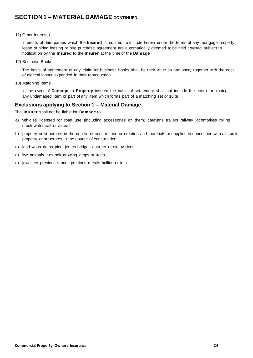### 11) Other Interests

Interests of third parties which the **Insured** is required to include herein under the terms of any mortgage property lease or hiring leasing or hire purchase agreement are automatically deemed to be held covered subject to notification by the **Insured** to the **Insurer** at the time of the **Damage**

12) Business Books

The basis of settlement of any claim for business books shall be their value as stationery together with the cost of clerical labour expended in their reproduction

13) Matching Items

In the event of **Damage** to **Property** insured the basis of settlement shall not include the cost of replacing any undamaged item or part of any item which forms part of a matching set or suite

### **Exclusions applying to Section 1 – Material Damage**

The **Insurer** shall not be liable for **Damage** to

- a) vehicles licensed for road use (including accessories on them) caravans trailers railway locomotives rolling stock watercraft or aircraft
- b) property or structures in the course of construction or erection and materials or supplies in connection with all suc h property or structures in the course of construction
- c) land water dams piers jetties bridges culverts or excavations
- d) live animals livestock growing crops or trees
- e) jewellery precious stones precious metals bullion or furs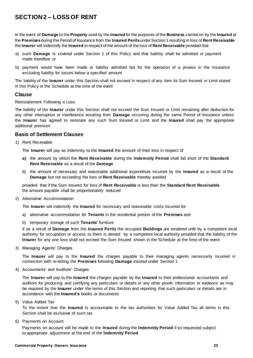# **SECTION 2 – LOSS OF RENT**

In the event of **Damage** to the **Property** used by the **Insured** for the purposes of the **Business** carried on by the **Insured** at the **Premises** during the Period of Insurance from the **Insured Perils** under Section 1 resulting in loss of **Rent Receivable**  the **Insurer** will indemnify the **Insured** in respect of the amount of the loss of **Rent Receivable** provided that

- a) such **Damage** is covered under Section 1 of this Policy and that liability shall be admitted or payment made therefore or
- b) payment would have been made or liability admitted but for the operation of a proviso in the insurance excluding liability for losses below a specified amount

The liability of the **Insurer** under this Section shall not exceed in respect of any item its Sum Insured or Limit stated in this Policy or the Schedule at the time of the event

### **Clause**

Reinstatement Following a Loss

The liability of the **Insurer** under this Section shall not exceed the Sum Insured or Limit remaining after deduction for any other interruption or interference resulting from **Damage** occurring during the same Period of Insurance unless the **Insurer** has agreed to reinstate any such Sum Insured or Limit and the **Insured** shall pay the appropriate additional premium

### **Basis of Settlement Clauses**

1) Rent Receivable

The **Insurer** will pay as indemnity to the **Insured** the amount of their loss in respect of

- **a)** the amount by which the **Rent Receivable** during the **Indemnity Period** shall fall short of the **Standard Rent Receivable** as a result of the **Damage**
- b) the amount of necessary and reasonable additional expenditure incurred by the **Insured** as a result of the **Damage** but not exceeding the loss of **Rent Receivable** thereby avoided

provided that if the Sum Insured for loss of **Rent Receivable** is less than the **Standard Rent Receivable** the amount payable shall be proportionately reduced

2) Alternative Accommodation

The **Insurer** will indemnify the **Insured** for necessary and reasonable costs incurred for

- a) alternative accommodation for **Tenants** in the residential portion of the **Premises** and
- b) temporary storage of such **Tenants'** furniture

if as a result of **Damage** from the **Insured Perils** the occupied **Buildings** are rendered unfit by a competent local authority for occupation or access to them is denied by a competent local authority provided that the liability of the **Insurer** for any one loss shall not exceed the Sum Insured shown in the Schedule at the time of the event

3) Managing Agents' Charges

The **Insurer** will pay to the **Insured** the charges payable to their managing agents necessarily incurred in connection with re-letting the **Premises** following **Damage** insured under Section 1

4) Accountants' and Auditors' Charges

The **Insurer** will pay to the **Insured** the charges payable by the **Insured** to their professional accountants and auditors for producing and certifying any particulars or details or any other proofs information or evidence as may be required by the **Insurer** under the terms of this Section and reporting that such particulars or details are in accordance with the **Insured's** books or documents

5) Value Added Tax

To the extent that the **Insured** is accountable to the tax authorities for Value Added Tax all terms in this Section shall be exclusive of such tax

6) Payments on Account

Payments on account will be made to the **Insured** during the **Indemnity Period** if so requested subject to appropriate adjustment at the end of the **Indemnity Period**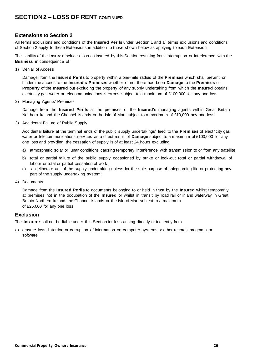# **SECTION 2 – LOSS OF RENT CONTINUED**

### **Extensions to Section 2**

All terms exclusions and conditions of the **Insured Perils** under Section 1 and all terms exclusions and conditions of Section 2 apply to these Extensions in addition to those shown below as applying to each Extension

The liability of the **Insurer** includes loss as insured by this Section resulting from interruption or interference with the **Business** in consequence of

1) Denial of Access

Damage from the **Insured Perils** to property within a one-mile radius of the **Premises** which shall prevent or hinder the access to the **Insured's Premises** whether or not there has been **Damage** to the **Premises** or **Property** of the **Insured** but excluding the property of any supply undertaking from which the **Insured** obtains electricity gas water or telecommunications services subject to a maximum of £100,000 for any one loss

2) Managing Agents' Premises

Damage from the **Insured Perils** at the premises of the **Insured's** managing agents within Great Britain Northern Ireland the Channel Islands or the Isle of Man subject to a maximum of £10,000 any one loss

3) Accidental Failure of Public Supply

Accidental failure at the terminal ends of the public supply undertakings' feed to the **Premises** of electricity gas water or telecommunications services as a direct result of **Damage** subject to a maximum of £100,000 for any one loss and providing the cessation of supply is of at least 24 hours excluding

- a) atmospheric solar or lunar conditions causing temporary interference with transmission to or from any satellite
- b) total or partial failure of the public supply occasioned by strike or lock-out total or partial withdrawal of labour or total or partial cessation of work
- c) a deliberate act of the supply undertaking unless for the sole purpose of safeguarding life or protecting any part of the supply undertaking system;
- 4) Documents

Damage from the **Insured Perils** to documents belonging to or held in trust by the **Insured** whilst temporarily at premises not in the occupation of the **Insured** or whilst in transit by road rail or inland waterway in Great Britain Northern Ireland the Channel Islands or the Isle of Man subject to a maximum of £25,000 for any one loss

### **Exclusion**

The **Insurer** shall not be liable under this Section for loss arising directly or indirectly from

a) erasure loss distortion or corruption of information on computer systems or other records programs or software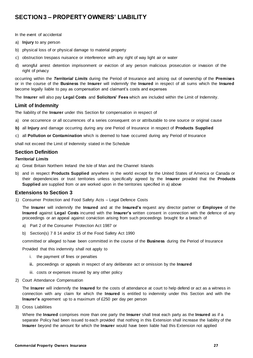# **SECTION 3 – PROPERTY OWNERS' LIABILITY**

In the event of accidental

- a) **Injury** to any person
- b) physical loss of or physical damage to material property
- c) obstruction trespass nuisance or interference with any right of way light air or water
- d) wrongful arrest detention imprisonment or eviction of any person malicious prosecution or invasion of the right of privacy

occurring within the *Territorial Limits* during the Period of Insurance and arising out of ownership of the **Premises** or in the course of the **Business** the **Insurer** will indemnify the **Insured** in respect of all sums which the **Insured** become legally liable to pay as compensation and claimant's costs and expenses

The **Insurer** will also pay **Legal Costs** and **Solicitors' Fees** which are included within the Limit of Indemnity.

### **Limit of Indemnity**

The liability of the **Insurer** under this Section for compensation in respect of

- a) one occurrence or all occurrences of a series consequent on or attributable to one source or original cause
- **b)** all **Injury** and damage occurring during any one Period of Insurance in respect of **Products Supplied**
- c) all **Pollution or Contamination** which is deemed to have occurred during any Period of Insurance

shall not exceed the Limit of Indemnity stated in the Schedule

### **Section Definition**

### *Territorial Limits*

- a) Great Britain Northern Ireland the Isle of Man and the Channel Islands
- b) and in respect **Products Supplied** anywhere in the world except for the United States of America or Canada or their dependencies or trust territories unless specifically agreed by the **Insurer** provided that the **Products Supplied** are supplied from or are worked upon in the territories specified in a) above

### **Extensions to Section 3**

1) Consumer Protection and Food Safety Acts – Legal Defence Costs

The **Insurer** will indemnify the **Insured** and at the **Insured's** request any director partner or **Employee** of the **Insured** against **Legal Costs** incurred with the **Insurer's** written consent in connection with the defence of any proceedings or an appeal against conviction arising from such proceedings brought for a breach of

- a) Part 2 of the Consumer Protection Act 1987 or
- b) Section(s) 7 8 14 and/or 15 of the Food Safety Act 1990

committed or alleged to have been committed in the course of the **Business** during the Period of Insurance

Provided that this indemnity shall not apply to

- i. the payment of fines or penalties
- **ii.** proceedings or appeals in respect of any deliberate act or omission by the **Insured**
- iii. costs or expenses insured by any other policy
- 2) Court Attendance Compensation

The **Insurer** will indemnify the **Insured** for the costs of attendance at court to help defend or act as a witness in connection with any claim for which the **Insured** is entitled to indemnity under this Section and with the **Insurer's** agreement up to a maximum of £250 per day per person

3) Cross Liabilities

Where the **Insured** comprises more than one party the **Insurer** shall treat each party as the **Insured** as if a separate Policy had been issued to each provided that nothing in this Extension shall increase the liability of the **Insurer** beyond the amount for which the **Insurer** would have been liable had this Extension not applied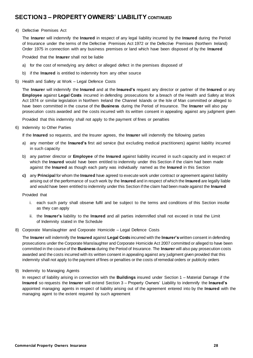# **SECTION 3 – PROPERTY OWNERS' LIABILITY CONTINUED**

### 4) Defective Premises Act

The **Insurer** will indemnify the **Insured** in respect of any legal liability incurred by the **Insured** during the Period of Insurance under the terms of the Defective Premises Act 1972 or the Defective Premises (Northern Ireland) Order 1975 in connection with any business premises or land which have been disposed of by the **Insured**

Provided that the **Insurer** shall not be liable

- a) for the cost of remedying any defect or alleged defect in the premises disposed of
- b) if the **Insured** is entitled to indemnity from any other source
- 5) Health and Safety at Work Legal Defence Costs

The **Insurer** will indemnify the **Insured** and at the **Insured's** request any director or partner of the **Insured** or any **Employee** against **Legal Costs** incurred in defending prosecutions for a breach of the Health and Safety at Work Act 1974 or similar legislation in Northern Ireland the Channel Islands or the Isle of Man committed or alleged to have been committed in the course of the **Business** during the Period of Insurance. The **Insurer** will also pay prosecution costs awarded and the costs incurred with its written consent in appealing against any judgment given

Provided that this indemnity shall not apply to the payment of fines or penalties

6) Indemnity to Other Parties

If the **Insured** so requests, and the Insurer agrees, the **Insurer** will indemnify the following parties

- a) any member of the **Insured's** first aid service (but excluding medical practitioners) against liability incurred in such capacity
- b) any partner director or **Employee** of the **Insured** against liability incurred in such capacity and in respect of which the **Insured** would have been entitled to indemnity under this Section if the claim had been made against the **Insured** as though each party was individually named as the **Insured** in this Section
- **c)** any **Principal** for whom the **Insured** have agreed to execute work under contract or agreement against liability arising out of the performance of such work by the **Insured** and in respect of which the **Insured** are legally liable and would have been entitled to indemnity under this Section if the claim had been made against the **Insured**

Provided that

- i. each such party shall observe fulfil and be subject to the terms and conditions of this Section insofar as they can apply
- ii. the **Insurer's** liability to the **Insured** and all parties indemnified shall not exceed in total the Limit of Indemnity stated in the Schedule
- 8) Corporate Manslaughter and Corporate Homicide Legal Defence Costs

The **Insurer** will indemnify the **Insured** against **Legal Costs** incurred with the **Insurer's** written consent in defending prosecutions under the Corporate Manslaughter and Corporate Homicide Act 2007 committed or alleged to have been committed in the course of the **Business** during the Period of Insurance. The **Insurer** will also pay prosecution costs awarded and the costs incurred with its written consent in appealing against any judgment given provided that this indemnity shall not apply to the payment of fines or penalties or the costs of remedial orders or publicity orders

9) Indemnity to Managing Agents

In respect of liability arising in connection with the **Buildings** insured under Section 1 – Material Damage if the **Insured** so requests the **Insurer** will extend Section 3 – Property Owners' Liability to indemnify the **Insured's**  appointed managing agents in respect of liability arising out of the agreement entered into by the **Insured** with the managing agent to the extent required by such agreement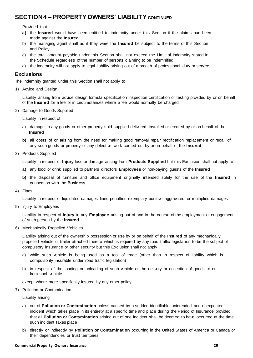# <span id="page-28-0"></span>**SECTION 4 – PROPERTY OWNERS' LIABILITY CONTINUED**

Provided that

- **a)** the **Insured** would have been entitled to indemnity under this Section if the claims had been made against the **Insured**
- b) the managing agent shall as if they were the **Insured** be subject to the terms of this Section and Policy
- c) the total amount payable under this Section shall not exceed the Limit of Indemnity stated in the Schedule regardless of the number of persons claiming to be indemnified
- d) the indemnity will not apply to legal liability arising out of a breach of professional duty or service

### **Exclusions**

The indemnity granted under this Section shall not apply to

1) Advice and Design

Liability arising from advice design formula specification inspection certification or testing provided by or on behalf of the **Insured** for a fee or in circumstances where a fee would normally be charged

2) Damage to Goods Supplied

Liability in respect of

- a) damage to any goods or other property sold supplied delivered installed or erected by or on behalf of the **Insured**
- **b)** all costs of or arising from the need for making good removal repair rectification replacement or recall of any such goods or property or any defective work carried out by or on behalf of the **Insured**
- 3) Products Supplied

Liability in respect of **Injury** loss or damage arising from **Products Supplied** but this Exclusion shall not apply to

- **a)** any food or drink supplied to partners directors **Employees** or non-paying guests of the **Insured**
- **b)** the disposal of furniture and office equipment originally intended solely for the use of the **Insured** in connection with the **Business**
- 4) Fines

Liability in respect of liquidated damages fines penalties exemplary punitive aggravated or multiplied damages

5) Injury to Employees

Liability in respect of **Injury** to any **Employee** arising out of and in the course of the employment or engagement of such person by the **Insured**

6) Mechanically Propelled Vehicles

Liability arising out of the ownership possession or use by or on behalf of the **Insured** of any mechanically propelled vehicle or trailer attached thereto which is required by any road traffic legislation to be the subject of compulsory insurance or other security but this Exclusion shall not apply

- a) while such vehicle is being used as a tool of trade (other than in respect of liability which is compulsorily insurable under road traffic legislation)
- b) in respect of the loading or unloading of such vehicle or the delivery or collection of goods to or from such vehicle

except where more specifically insured by any other policy

7) Pollution or Contamination

Liability arising

- a) out of **Pollution or Contamination** unless caused by a sudden identifiable unintended and unexpected incident which takes place in its entirety at a specific time and place during the Period of Insurance provided that all **Pollution or Contamination** arising out of one incident shall be deemed to have occurred at the time such incident takes place
- b) directly or indirectly by **Pollution or Contamination** occurring in the United States of America or Canada or their dependencies or trust territories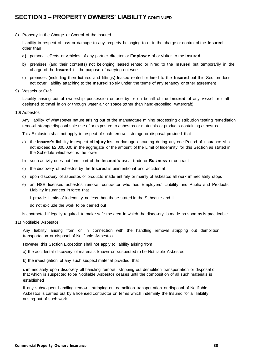# **SECTION 3 – PROPERTY OWNERS' LIABILITY CONTINUED**

8) Property in the Charge or Control of the Insured

Liability in respect of loss or damage to any property belonging to or in the charge or control of the **Insured** other than

- **a)** personal effects or vehicles of any partner director or **Employee** of or visitor to the **Insured**
- b) premises (and their contents) not belonging leased rented or hired to the **Insured** but temporarily in the charge of the **Insured** for the purpose of carrying out work
- c) premises (including their fixtures and fittings) leased rented or hired to the **Insured** but this Section does not cover liability attaching to the **Insured** solely under the terms of any tenancy or other agreement
- 9) Vessels or Craft

Liability arising out of ownership possession or use by or on behalf of the **Insured** of any vessel or craft designed to travel in on or through water air or space (other than hand-propelled watercraft)

10) Asbestos

Any liability of whatsoever nature arising out of the manufacture mining processing distribution testing remediation removal storage disposal sale use of or exposure to asbestos or materials or products containing asbestos

This Exclusion shall not apply in respect of such removal storage or disposal provided that

- a) the **Insurer's** liability in respect of **Injury** loss or damage occurring during any one Period of Insurance shall not exceed £2,000,000 in the aggregate or the amount of the Limit of Indemnity for this Section as stated in the Schedule whichever is the lower
- b) such activity does not form part of the **Insured's** usual trade or **Business** or contract
- c) the discovery of asbestos by the **Insured** is unintentional and accidental
- d) upon discovery of asbestos or products made entirely or mainly of asbestos all work immediately stops
- e) an HSE licensed asbestos removal contractor who has Employers' Liability and Public and Products Liability insurances in force that
	- i. provide Limits of Indemnity no less than those stated in the Schedule and ii

do not exclude the work to be carried out

is contracted if legally required to make safe the area in which the discovery is made as soon as is practicable

### 11) Notifiable Asbestos

Any liability arising from or in connection with the handling removal stripping out demolition transportation or disposal of Notifiable Asbestos

However this Section Exception shall not apply to liability arising from

a) the accidental discovery of materials known or suspected to be Notifiable Asbestos

b) the investigation of any such suspect material provided that

i. immediately upon discovery all handling removal stripping out demolition transportation or disposal of that which is suspected to be Notifiable Asbestos ceases until the composition of all such materials is established

ii. any subsequent handling removal stripping out demolition transportation or disposal of Notifiable Asbestos is carried out by a licensed contractor on terms which indemnify the Insured for all liability arising out of such work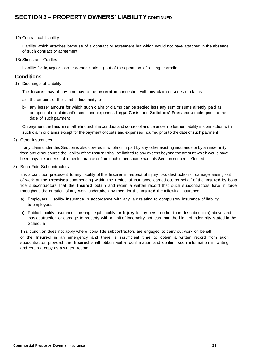# **SECTION 3 – PROPERTY OWNERS' LIABILITY CONTINUED**

12) Contractual Liability

Liability which attaches because of a contract or agreement but which would not have attached in the absence of such contract or agreement

13) Slings and Cradles

Liability for **Injury** or loss or damage arising out of the operation of a sling or cradle

### **Conditions**

1) Discharge of Liability

The **Insurer** may at any time pay to the **Insured** in connection with any claim or series of claims

- a) the amount of the Limit of Indemnity or
- b) any lesser amount for which such claim or claims can be settled less any sum or sums already paid as compensation claimant's costs and expenses **Legal Costs** and **Solicitors' Fees** recoverable prior to the date of such payment

On payment the **Insurer** shall relinquish the conduct and control of and be under no further liability in connection with such claim or claims except for the payment of costs and expenses incurred prior to the date of such payment

2) Other Insurances

If any claim under this Section is also covered in whole or in part by any other existing insurance or by an indemnity from any other source the liability of the **Insurer** shall be limited to any excess beyond the amount which would have been payable under such other insurance or from such other source had this Section not been effected

3) Bona Fide Subcontractors

It is a condition precedent to any liability of the **Insurer** in respect of injury loss destruction or damage arising out of work at the **Premises** commencing within the Period of Insurance carried out on behalf of the **Insured** by bona fide subcontractors that the **Insured** obtain and retain a written record that such subcontractors have in force throughout the duration of any work undertaken by them for the **Insured** the following insurance

- a) Employers' Liability insurance in accordance with any law relating to compulsory insurance of liability to employees
- b) Public Liability insurance covering legal liability for **Injury** to any person other than described in a) above and loss destruction or damage to property with a limit of indemnity not less than the Limit of Indemnity stated in the **Schedule**

This condition does not apply where bona fide subcontractors are engaged to carry out work on behalf of the **Insured** in an emergency and there is insufficient time to obtain a written record from such subcontractor provided the **Insured** shall obtain verbal confirmation and confirm such information in writing and retain a copy as a written record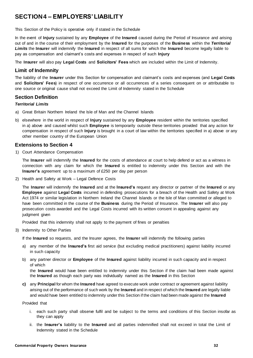# <span id="page-31-0"></span>**SECTION 4 – EMPLOYERS' LIABILITY**

This Section of the Policy is operative only if stated in the Schedule

In the event of **Injury** sustained by any **Employee** of the **Insured** caused during the Period of Insurance and arising out of and in the course of their employment by the **Insured** for the purposes of the **Business** within the *Territorial Limits* the **Insurer** will indemnify the **Insured** in respect of all sums for which the **Insured** become legally liable to pay as compensation and claimant's costs and expenses in respect of such **Injury**

The **Insurer** will also pay **Legal Costs** and **Solicitors' Fees** which are included within the Limit of Indemnity.

### **Limit of Indemnity**

The liability of the **Insurer** under this Section for compensation and claimant's costs and expenses (and **Legal Costs** and **Solicitors' Fees**) in respect of one occurrence or all occurrences of a series consequent on or attributable to one source or original cause shall not exceed the Limit of Indemnity stated in the Schedule

### **Section Definition**

### *Territorial Limits*

- a) Great Britain Northern Ireland the Isle of Man and the Channel Islands
- b) elsewhere in the world in respect of **Injury** sustained by any **Employee** resident within the territories specified in a) above and caused whilst such **Employee** is temporarily outside these territories provided that any action for compensation in respect of such **Injury** is brought in a court of law within the territories specified in a) above or any other member country of the European Union

### **Extensions to Section 4**

1) Court Attendance Compensation

The **Insurer** will indemnify the **Insured** for the costs of attendance at court to help defend or act as a witness in connection with any claim for which the **Insured** is entitled to indemnity under this Section and with the **Insurer's** agreement up to a maximum of £250 per day per person

2) Health and Safety at Work – Legal Defence Costs

The **Insurer** will indemnify the **Insured** and at the **Insured's** request any director or partner of the **Insured** or any **Employee** against **Legal Costs** incurred in defending prosecutions for a breach of the Health and Safety at Work Act 1974 or similar legislation in Northern Ireland the Channel Islands or the Isle of Man committed or alleged to have been committed in the course of the **Business** during the Period of Insurance. The **Insurer** will also pay prosecution costs awarded and the Legal Costs incurred with its written consent in appealing against any judgment given

Provided that this indemnity shall not apply to the payment of fines or penalties

3) Indemnity to Other Parties

If the **Insured** so requests, and the Insurer agrees, the **Insurer** will indemnify the following parties

- a) any member of the **Insured's** first aid service (but excluding medical practitioners) against liability incurred in such capacity
- b) any partner director or **Employee** of the **Insured** against liability incurred in such capacity and in respect of which

the **Insured** would have been entitled to indemnity under this Section if the claim had been made against the **Insured** as though each party was individually named as the **Insured** in this Section

**c)** any **Principal** for whom the **Insured** have agreed to execute work under contract or agreement against liability arising out of the performance of such work by the **Insured** and in respect of which the **Insured** are legally liable and would have been entitled to indemnity under this Section if the claim had been made against the **Insured**

Provided that

- i. each such party shall observe fulfil and be subject to the terms and conditions of this Section insofar as they can apply
- ii. the **Insurer's** liability to the **Insured** and all parties indemnified shall not exceed in total the Limit of Indemnity stated in the Schedule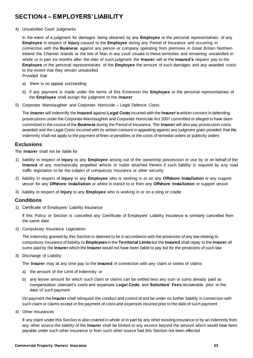# <span id="page-32-0"></span>**SECTION 4 – EMPLOYERS' LIABILITY**

4) Unsatisfied Court Judgments

In the event of a judgment for damages being obtained by any **Employee** or the personal representatives of any **Employee** in respect of **Injury** caused to the **Employee** during any Period of Insurance and occurring in connection with the **Business** against any person or company operating from premises in Great Britain Northern Ireland the Channel Islands or the Isle of Man in any court situate in these territories and remaining unsatisfied in whole or in part six months after the date of such judgment the **Insurer** will at the **Insured's** request pay to the **Employee** or the personal representatives of the **Employee** the amount of such damages and any awarded costs to the extent that they remain unsatisfied

Provided that

- a) there is no appeal outstanding
- b) if any payment is made under the terms of this Extension the **Employee** or the personal representatives of the **Employee** shall assign the judgment to the **Insurer**
- 5) Corporate Manslaughter and Corporate Homicide Legal Defence Costs

The **Insurer** will indemnify the **Insured** against **Legal Costs** incurred with the **Insurer's** written consent in defending prosecutions under the Corporate Manslaughter and Corporate Homicide Act 2007 committed or alleged to have been committed in the course of the **Business** during the Period of Insurance. The **Insurer** will also pay prosecution costs awarded and the Legal Costs incurred with its written consent in appealing against any judgment given provided that this indemnity shall not apply to the payment of fines or penalties or the costs of remedial orders or publicity orders

### **Exclusions**

The **Insurer** shall not be liable for

- 1) liability in respect of **Injury** to any **Employee** arising out of the ownership possession or use by or on behalf of the **Insured** of any mechanically propelled vehicle or trailer attached thereto if such liability is required by any road traffic legislation to be the subject of compulsory insurance or other security
- 2) liability in respect of **Injury** to any **Employee** who is working in or on any **Offshore Installation** or any support vessel for any **Offshore Installation** or whilst in transit to or from any **Offshore Installation** or support vessel
- 3) liability in respect of **Injury** to any **Employee** who is working in or on a sling or cradle

### **Conditions**

1) Certificate of Employers' Liability Insurance

If this Policy or Section is cancelled any Certificate of Employers' Liability Insurance is similarly cancelled from the same date

2) Compulsory Insurance Legislation

The indemnity granted by this Section is deemed to be in accordance with the provisions of any law relating to compulsory insurance of liability to **Employees** in the **Territorial Limits** but the **Insured** shall repay to the **Insurer** all sums paid by the **Insurer** which the **Insurer** would not have been liable to pay but for the provisions of such law

3) Discharge of Liability

The **Insurer** may at any time pay to the **Insured** in connection with any claim or series of claims

- a) the amount of the Limit of Indemnity or
- b) any lesser amount for which such claim or claims can be settled less any sum or sums already paid as compensation claimant's costs and expenses **Legal Costs** and **Solicitors' Fees** recoverable prior to the date of such payment

On payment the **Insurer** shall relinquish the conduct and control of and be under no further liability in connection with such claim or claims except or the payment of costs and expenses incurred prior to the date of such payment

4) Other Insurances

If any claim under this Section is also covered in whole or in part by any other existing insurance or by an indemnity from any other source the liability of the **Insurer** shall be limited to any excess beyond the amount which would have been payable under such other insurance or from such other source had this Section not been effected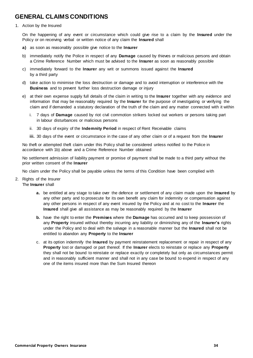# **GENERAL CLAIMS CONDITIONS**

### 1. Action by the Insured

On the happening of any event or circumstance which could give rise to a claim by the **Insured** under the Policy or on receiving verbal or written notice of any claim the **Insured** shall

- **a)** as soon as reasonably possible give notice to the **Insurer**
- b) immediately notify the Police in respect of any **Damage** caused by thieves or malicious persons and obtain a Crime Reference Number which must be advised to the **Insurer** as soon as reasonably possible
- c) immediately forward to the **Insurer** any writ or summons issued against the **Insured** by a third party
- d) take action to minimise the loss destruction or damage and to avoid interruption or interference with the **Business** and to prevent further loss destruction damage or injury
- e) at their own expense supply full details of the claim in writing to the **Insurer** together with any evidence and information that may be reasonably required by the **Insurer** for the purpose of investigating or verifying the claim and if demanded a statutory declaration of the truth of the claim and any matter connected with it within
	- i. 7 days of **Damage** caused by riot civil commotion strikers locked out workers or persons taking part in labour disturbances or malicious persons
	- ii. 30 days of expiry of the **Indemnity Period** in respect of Rent Receivable claims

**iii.** 30 days of the event or circumstance in the case of any other claim or of a request from the **Insurer**

No theft or attempted theft claim under this Policy shall be considered unless notified to the Police in accordance with 1b) above and a Crime Reference Number obtained

No settlement admission of liability payment or promise of payment shall be made to a third party without the prior written consent of the **Insurer**

No claim under the Policy shall be payable unless the terms of this Condition have been complied with

- 2. Rights of the Insurer The **Insurer** shall
	- **a.** be entitled at any stage to take over the defence or settlement of any claim made upon the **Insured** by any other party and to prosecute for its own benefit any claim for indemnity or compensation against any other persons in respect of any event insured by the Policy and at no cost to the **Insurer** the **Insured** shall give all assistance as may be reasonably required by the **Insurer**
	- **b.** have the right to enter the **Premises** where the **Damage** has occurred and to keep possession of any **Property** insured without thereby incurring any liability or diminishing any of the **Insurer's** rights under the Policy and to deal with the salvage in a reasonable manner but the **Insured** shall not be entitled to abandon any **Property** to the **Insurer**
	- c. at its option indemnify the **Insured** by payment reinstatement replacement or repair in respect of any **Property** lost or damaged or part thereof. If the **Insurer** elects to reinstate or replace any **Property**  they shall not be bound to reinstate or replace exactly or completely but only as circumstances permit and in reasonably sufficient manner and shall not in any case be bound to expend in respect of any one of the items insured more than the Sum Insured thereon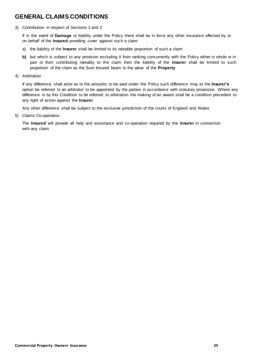# **GENERAL CLAIMS CONDITIONS**

3) Contribution in respect of Sections 1 and 2

If in the event of **Damage** or liability under the Policy there shall be in force any other insurance effected by or on behalf of the **Insured** providing cover against such a claim

- a) the liability of the **Insurer** shall be limited to its rateable proportion of such a claim
- **b)** but which is subject to any provision excluding it from ranking concurrently with the Policy either in whole or in part or from contributing rateably to the claim then the liability of the **Insurer** shall be limited to such proportion of the claim as the Sum Insured bears to the value of the **Property**
- 4) Arbitration

If any difference shall arise as to the amounts to be paid under the Policy such difference may at the **Insurer's** option be referred to an arbitrator to be appointed by the parties in accordance with statutory provisions. Where any difference is by this Condition to be referred to arbitration the making of an award shall be a condition precedent to any right of action against the **Insurer**

Any other difference shall be subject to the exclusive jurisdiction of the courts of England and Wales

5) Claims Co-operation

The **Insured** will provide all help and assistance and co-operation required by the **Insurer** in connection with any claim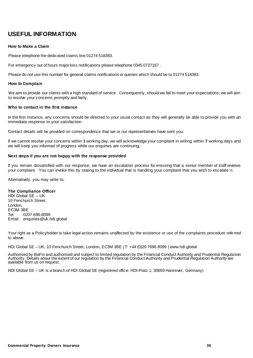# **USEFUL INFORMATION**

### **How to Make a Claim**

Please telephone the dedicated claims line 01274 518383.

For emergency out of hours major loss notifications please telephone 0345 0737187 .

Please do not use this number for general claims notifications or queries which should be to 01274 518383.

### **How to Complain**

We aim to provide our clients with a high standard of service. Consequently, should we fail to meet your expectations; we will aim to resolve your concerns promptly and fairly.

### **Who to contact in the first instance**

In the first instance, any concerns should be directed to your usual contact as they will generally be able to provide you with an immediate response to your satisfaction.

Contact details will be provided on correspondence that we or our representatives have sent you.

If we cannot resolve your concerns within **1** working day, we will acknowledge your complaint in writing within **7** working days and we will keep you informed of progress while our enquiries are continuing.

### **Next steps if you are not happy with the response provided**

If you remain dissatisfied with our response, we have an escalation process for ensuring that a senior member of staff reviews your complaint. You can invoke this by stating to the individual that is handling your complaint that you wish to escalate i t.

Alternatively, you may write to:

### **The Compliance Officer**

HDI Global SE – UK 10 Fenchurch Street, London, EC3M 3BE Tel: 0207-696-8099 Email: enquiries@uk.hdi.global

Your right as a Policyholder to take legal action remains unaffected by the existence or use of the complaints procedure referred to above.

HDI Global SE – UK, 10 Fenchurch Street, London, EC3M 3BE | T: +44 (0)20 7696 8099 | www.hdi.global

Authorised by BaFin and authorised and subject to limited regulation by the Financial Conduct Authority and Prudential Regulation Authority. Details about the extent of our regulation by the Financial Conduct Authority and Prudential Regulation Authority are available from us on request.

HDI Global SE – UK is a branch of HDI Global SE (registered office: HDI-Platz 1, 30659 Hannover, Germany)